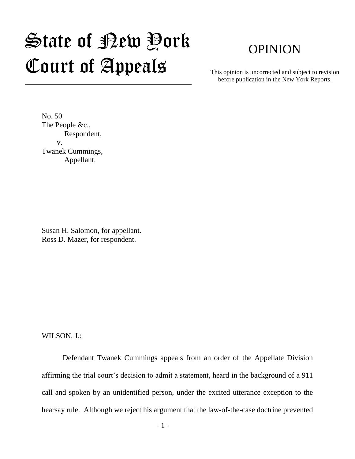## State of New York Court of Appeals

## OPINION

This opinion is uncorrected and subject to revision before publication in the New York Reports.

No. 50 The People &c., Respondent, v. Twanek Cummings, Appellant.

Susan H. Salomon, for appellant. Ross D. Mazer, for respondent.

WILSON, J.:

Defendant Twanek Cummings appeals from an order of the Appellate Division affirming the trial court's decision to admit a statement, heard in the background of a 911 call and spoken by an unidentified person, under the excited utterance exception to the hearsay rule. Although we reject his argument that the law-of-the-case doctrine prevented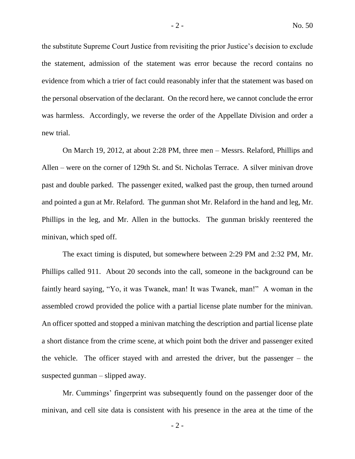the substitute Supreme Court Justice from revisiting the prior Justice's decision to exclude the statement, admission of the statement was error because the record contains no evidence from which a trier of fact could reasonably infer that the statement was based on the personal observation of the declarant. On the record here, we cannot conclude the error was harmless. Accordingly, we reverse the order of the Appellate Division and order a new trial.

On March 19, 2012, at about 2:28 PM, three men – Messrs. Relaford, Phillips and Allen – were on the corner of 129th St. and St. Nicholas Terrace. A silver minivan drove past and double parked. The passenger exited, walked past the group, then turned around and pointed a gun at Mr. Relaford. The gunman shot Mr. Relaford in the hand and leg, Mr. Phillips in the leg, and Mr. Allen in the buttocks. The gunman briskly reentered the minivan, which sped off.

The exact timing is disputed, but somewhere between 2:29 PM and 2:32 PM, Mr. Phillips called 911. About 20 seconds into the call, someone in the background can be faintly heard saying, "Yo, it was Twanek, man! It was Twanek, man!" A woman in the assembled crowd provided the police with a partial license plate number for the minivan. An officer spotted and stopped a minivan matching the description and partial license plate a short distance from the crime scene, at which point both the driver and passenger exited the vehicle. The officer stayed with and arrested the driver, but the passenger – the suspected gunman – slipped away.

Mr. Cummings' fingerprint was subsequently found on the passenger door of the minivan, and cell site data is consistent with his presence in the area at the time of the

 $-2 -$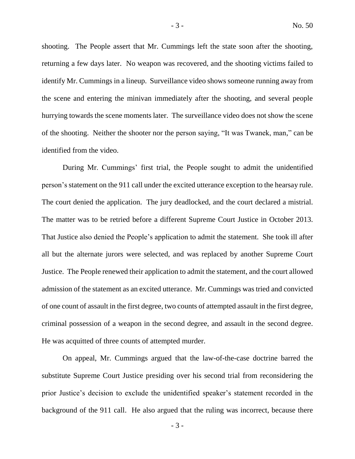shooting. The People assert that Mr. Cummings left the state soon after the shooting, returning a few days later. No weapon was recovered, and the shooting victims failed to identify Mr. Cummings in a lineup. Surveillance video shows someone running away from the scene and entering the minivan immediately after the shooting, and several people hurrying towards the scene moments later. The surveillance video does not show the scene of the shooting. Neither the shooter nor the person saying, "It was Twanek, man," can be identified from the video.

During Mr. Cummings' first trial, the People sought to admit the unidentified person's statement on the 911 call under the excited utterance exception to the hearsay rule. The court denied the application. The jury deadlocked, and the court declared a mistrial. The matter was to be retried before a different Supreme Court Justice in October 2013. That Justice also denied the People's application to admit the statement. She took ill after all but the alternate jurors were selected, and was replaced by another Supreme Court Justice. The People renewed their application to admit the statement, and the court allowed admission of the statement as an excited utterance. Mr. Cummings was tried and convicted of one count of assault in the first degree, two counts of attempted assault in the first degree, criminal possession of a weapon in the second degree, and assault in the second degree. He was acquitted of three counts of attempted murder.

On appeal, Mr. Cummings argued that the law-of-the-case doctrine barred the substitute Supreme Court Justice presiding over his second trial from reconsidering the prior Justice's decision to exclude the unidentified speaker's statement recorded in the background of the 911 call. He also argued that the ruling was incorrect, because there

- 3 -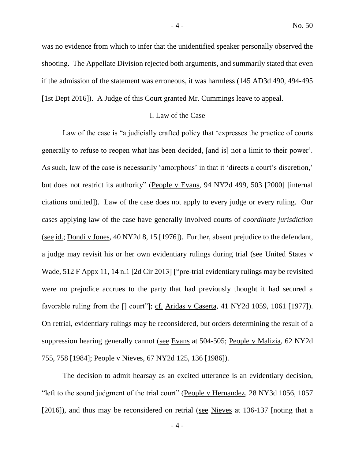was no evidence from which to infer that the unidentified speaker personally observed the shooting. The Appellate Division rejected both arguments, and summarily stated that even if the admission of the statement was erroneous, it was harmless (145 AD3d 490, 494-495 [1st Dept 2016]). A Judge of this Court granted Mr. Cummings leave to appeal.

## I. Law of the Case

Law of the case is "a judicially crafted policy that 'expresses the practice of courts generally to refuse to reopen what has been decided, [and is] not a limit to their power'. As such, law of the case is necessarily 'amorphous' in that it 'directs a court's discretion,' but does not restrict its authority" (People v Evans, 94 NY2d 499, 503 [2000] [internal citations omitted]). Law of the case does not apply to every judge or every ruling. Our cases applying law of the case have generally involved courts of *coordinate jurisdiction* (see id.; Dondi v Jones, 40 NY2d 8, 15 [1976]). Further, absent prejudice to the defendant, a judge may revisit his or her own evidentiary rulings during trial (see United States v Wade, 512 F Appx 11, 14 n.1 [2d Cir 2013] ["pre-trial evidentiary rulings may be revisited were no prejudice accrues to the party that had previously thought it had secured a favorable ruling from the [] court"]; cf. Aridas v Caserta, 41 NY2d 1059, 1061 [1977]). On retrial, evidentiary rulings may be reconsidered, but orders determining the result of a suppression hearing generally cannot (see Evans at 504-505; People v Malizia, 62 NY2d 755, 758 [1984]; People v Nieves, 67 NY2d 125, 136 [1986]).

The decision to admit hearsay as an excited utterance is an evidentiary decision, "left to the sound judgment of the trial court" (People v Hernandez, 28 NY3d 1056, 1057 [2016]), and thus may be reconsidered on retrial (see Nieves at 136-137 [noting that a

- 4 -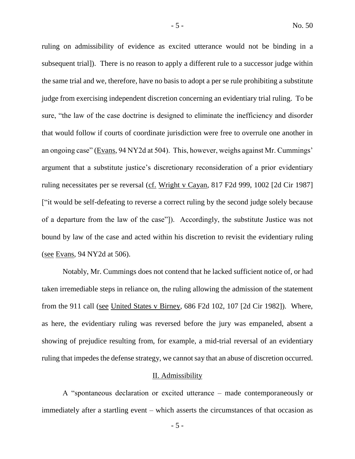ruling on admissibility of evidence as excited utterance would not be binding in a subsequent trial]). There is no reason to apply a different rule to a successor judge within the same trial and we, therefore, have no basis to adopt a per se rule prohibiting a substitute judge from exercising independent discretion concerning an evidentiary trial ruling. To be sure, "the law of the case doctrine is designed to eliminate the inefficiency and disorder that would follow if courts of coordinate jurisdiction were free to overrule one another in an ongoing case" (Evans, 94 NY2d at 504). This, however, weighs against Mr. Cummings' argument that a substitute justice's discretionary reconsideration of a prior evidentiary ruling necessitates per se reversal (cf. Wright v Cayan, 817 F2d 999, 1002 [2d Cir 1987] ["it would be self-defeating to reverse a correct ruling by the second judge solely because of a departure from the law of the case"]). Accordingly, the substitute Justice was not bound by law of the case and acted within his discretion to revisit the evidentiary ruling (see Evans, 94 NY2d at 506).

Notably, Mr. Cummings does not contend that he lacked sufficient notice of, or had taken irremediable steps in reliance on, the ruling allowing the admission of the statement from the 911 call (see United States v Birney, 686 F2d 102, 107 [2d Cir 1982]). Where, as here, the evidentiary ruling was reversed before the jury was empaneled, absent a showing of prejudice resulting from, for example, a mid-trial reversal of an evidentiary ruling that impedes the defense strategy, we cannot say that an abuse of discretion occurred.

## II. Admissibility

A "spontaneous declaration or excited utterance – made contemporaneously or immediately after a startling event – which asserts the circumstances of that occasion as

- 5 -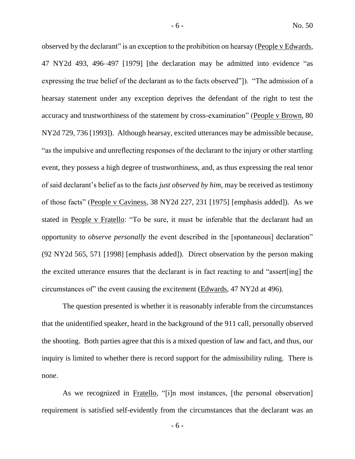observed by the declarant" is an exception to the prohibition on hearsay (People v Edwards, 47 NY2d 493, 496–497 [1979] [the declaration may be admitted into evidence "as expressing the true belief of the declarant as to the facts observed"]). "The admission of a hearsay statement under any exception deprives the defendant of the right to test the accuracy and trustworthiness of the statement by cross-examination" (People v Brown, 80 NY2d 729, 736 [1993]). Although hearsay, excited utterances may be admissible because, "as the impulsive and unreflecting responses of the declarant to the injury or other startling event, they possess a high degree of trustworthiness, and, as thus expressing the real tenor of said declarant's belief as to the facts *just observed by him*, may be received as testimony of those facts" (People v Caviness, 38 NY2d 227, 231 [1975] [emphasis added]). As we stated in People v Fratello: "To be sure, it must be inferable that the declarant had an opportunity to *observe personally* the event described in the [spontaneous] declaration" (92 NY2d 565, 571 [1998] [emphasis added]). Direct observation by the person making the excited utterance ensures that the declarant is in fact reacting to and "assert[ing] the circumstances of" the event causing the excitement (Edwards, 47 NY2d at 496).

The question presented is whether it is reasonably inferable from the circumstances that the unidentified speaker, heard in the background of the 911 call, personally observed the shooting. Both parties agree that this is a mixed question of law and fact, and thus, our inquiry is limited to whether there is record support for the admissibility ruling. There is none.

As we recognized in Fratello, "[i]n most instances, [the personal observation] requirement is satisfied self-evidently from the circumstances that the declarant was an

- 6 -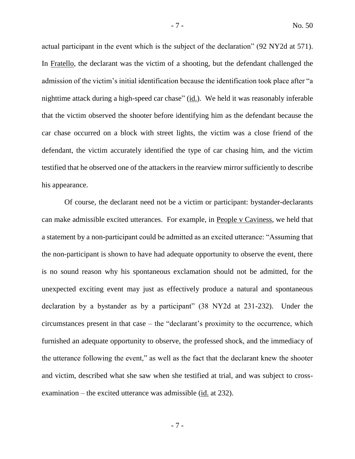actual participant in the event which is the subject of the declaration" (92 NY2d at 571). In Fratello, the declarant was the victim of a shooting, but the defendant challenged the admission of the victim's initial identification because the identification took place after "a nighttime attack during a high-speed car chase" (id.). We held it was reasonably inferable that the victim observed the shooter before identifying him as the defendant because the car chase occurred on a block with street lights, the victim was a close friend of the defendant, the victim accurately identified the type of car chasing him, and the victim testified that he observed one of the attackers in the rearview mirror sufficiently to describe his appearance.

Of course, the declarant need not be a victim or participant: bystander-declarants can make admissible excited utterances. For example, in People v Caviness, we held that a statement by a non-participant could be admitted as an excited utterance: "Assuming that the non-participant is shown to have had adequate opportunity to observe the event, there is no sound reason why his spontaneous exclamation should not be admitted, for the unexpected exciting event may just as effectively produce a natural and spontaneous declaration by a bystander as by a participant" (38 NY2d at 231-232). Under the circumstances present in that case – the "declarant's proximity to the occurrence, which furnished an adequate opportunity to observe, the professed shock, and the immediacy of the utterance following the event," as well as the fact that the declarant knew the shooter and victim, described what she saw when she testified at trial, and was subject to crossexamination – the excited utterance was admissible (id. at 232).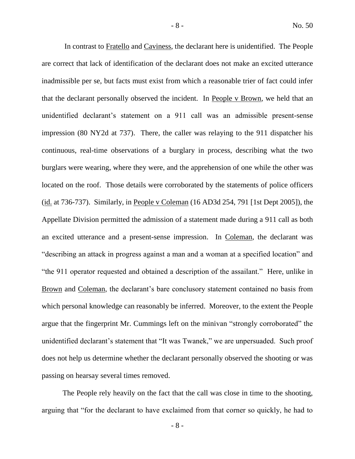In contrast to Fratello and Caviness, the declarant here is unidentified. The People are correct that lack of identification of the declarant does not make an excited utterance inadmissible per se, but facts must exist from which a reasonable trier of fact could infer that the declarant personally observed the incident. In People v Brown, we held that an unidentified declarant's statement on a 911 call was an admissible present-sense impression (80 NY2d at 737). There, the caller was relaying to the 911 dispatcher his continuous, real-time observations of a burglary in process, describing what the two burglars were wearing, where they were, and the apprehension of one while the other was located on the roof. Those details were corroborated by the statements of police officers (id. at 736-737). Similarly, in People v Coleman (16 AD3d 254, 791 [1st Dept 2005]), the Appellate Division permitted the admission of a statement made during a 911 call as both an excited utterance and a present-sense impression. In Coleman, the declarant was "describing an attack in progress against a man and a woman at a specified location" and "the 911 operator requested and obtained a description of the assailant." Here, unlike in Brown and Coleman, the declarant's bare conclusory statement contained no basis from which personal knowledge can reasonably be inferred. Moreover, to the extent the People argue that the fingerprint Mr. Cummings left on the minivan "strongly corroborated" the unidentified declarant's statement that "It was Twanek," we are unpersuaded. Such proof does not help us determine whether the declarant personally observed the shooting or was passing on hearsay several times removed.

The People rely heavily on the fact that the call was close in time to the shooting, arguing that "for the declarant to have exclaimed from that corner so quickly, he had to

- 8 -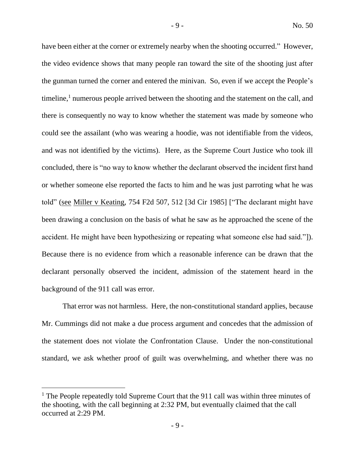have been either at the corner or extremely nearby when the shooting occurred." However, the video evidence shows that many people ran toward the site of the shooting just after the gunman turned the corner and entered the minivan. So, even if we accept the People's timeline,<sup>1</sup> numerous people arrived between the shooting and the statement on the call, and there is consequently no way to know whether the statement was made by someone who could see the assailant (who was wearing a hoodie, was not identifiable from the videos, and was not identified by the victims). Here, as the Supreme Court Justice who took ill concluded, there is "no way to know whether the declarant observed the incident first hand or whether someone else reported the facts to him and he was just parroting what he was told" (see Miller v Keating, 754 F2d 507, 512 [3d Cir 1985] ["The declarant might have been drawing a conclusion on the basis of what he saw as he approached the scene of the accident. He might have been hypothesizing or repeating what someone else had said."]). Because there is no evidence from which a reasonable inference can be drawn that the declarant personally observed the incident, admission of the statement heard in the background of the 911 call was error.

That error was not harmless. Here, the non-constitutional standard applies, because Mr. Cummings did not make a due process argument and concedes that the admission of the statement does not violate the Confrontation Clause. Under the non-constitutional standard, we ask whether proof of guilt was overwhelming, and whether there was no

 $\overline{a}$ 

<sup>&</sup>lt;sup>1</sup> The People repeatedly told Supreme Court that the 911 call was within three minutes of the shooting, with the call beginning at 2:32 PM, but eventually claimed that the call occurred at 2:29 PM.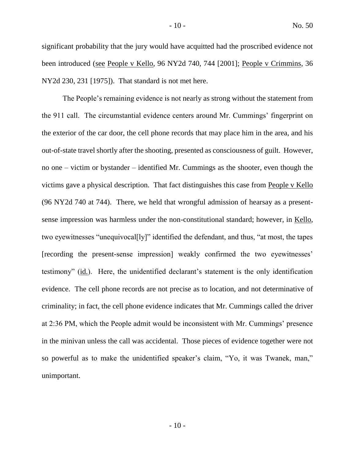significant probability that the jury would have acquitted had the proscribed evidence not been introduced (see People v Kello, 96 NY2d 740, 744 [2001]; People v Crimmins, 36 NY2d 230, 231 [1975]). That standard is not met here.

The People's remaining evidence is not nearly as strong without the statement from the 911 call. The circumstantial evidence centers around Mr. Cummings' fingerprint on the exterior of the car door, the cell phone records that may place him in the area, and his out-of-state travel shortly after the shooting, presented as consciousness of guilt. However, no one – victim or bystander – identified Mr. Cummings as the shooter, even though the victims gave a physical description. That fact distinguishes this case from People v Kello (96 NY2d 740 at 744). There, we held that wrongful admission of hearsay as a presentsense impression was harmless under the non-constitutional standard; however, in Kello, two eyewitnesses "unequivocal[ly]" identified the defendant, and thus, "at most, the tapes [recording the present-sense impression] weakly confirmed the two eyewitnesses' testimony" (id.). Here, the unidentified declarant's statement is the only identification evidence. The cell phone records are not precise as to location, and not determinative of criminality; in fact, the cell phone evidence indicates that Mr. Cummings called the driver at 2:36 PM, which the People admit would be inconsistent with Mr. Cummings' presence in the minivan unless the call was accidental. Those pieces of evidence together were not so powerful as to make the unidentified speaker's claim, "Yo, it was Twanek, man," unimportant.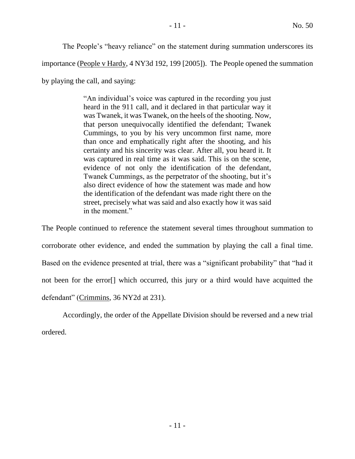The People's "heavy reliance" on the statement during summation underscores its

importance (People v Hardy, 4 NY3d 192, 199 [2005]). The People opened the summation

by playing the call, and saying:

"An individual's voice was captured in the recording you just heard in the 911 call, and it declared in that particular way it was Twanek, it was Twanek, on the heels of the shooting. Now, that person unequivocally identified the defendant; Twanek Cummings, to you by his very uncommon first name, more than once and emphatically right after the shooting, and his certainty and his sincerity was clear. After all, you heard it. It was captured in real time as it was said. This is on the scene, evidence of not only the identification of the defendant, Twanek Cummings, as the perpetrator of the shooting, but it's also direct evidence of how the statement was made and how the identification of the defendant was made right there on the street, precisely what was said and also exactly how it was said in the moment."

The People continued to reference the statement several times throughout summation to corroborate other evidence, and ended the summation by playing the call a final time. Based on the evidence presented at trial, there was a "significant probability" that "had it not been for the error[] which occurred, this jury or a third would have acquitted the defendant" (Crimmins, 36 NY2d at 231).

Accordingly, the order of the Appellate Division should be reversed and a new trial ordered.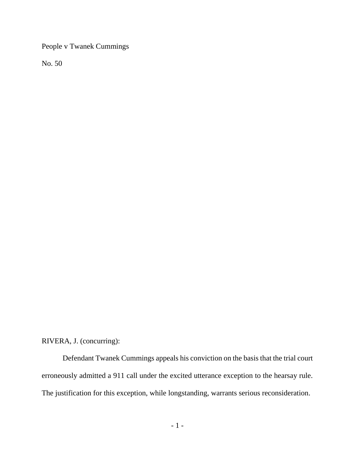People v Twanek Cummings

No. 50

RIVERA, J. (concurring):

Defendant Twanek Cummings appeals his conviction on the basis that the trial court erroneously admitted a 911 call under the excited utterance exception to the hearsay rule. The justification for this exception, while longstanding, warrants serious reconsideration.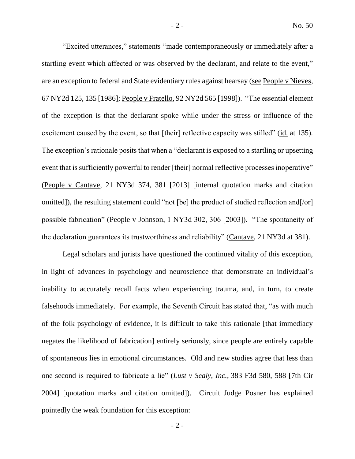"Excited utterances," statements "made contemporaneously or immediately after a startling event which affected or was observed by the declarant, and relate to the event," are an exception to federal and State evidentiary rules against hearsay (see People v Nieves, 67 NY2d 125, 135 [1986]; People v Fratello, 92 NY2d 565 [1998]). "The essential element of the exception is that the declarant spoke while under the stress or influence of the excitement caused by the event, so that [their] reflective capacity was stilled" (id. at 135). The exception's rationale posits that when a "declarant is exposed to a startling or upsetting event that is sufficiently powerful to render [their] normal reflective processes inoperative" (People v Cantave, 21 NY3d 374, 381 [2013] [internal quotation marks and citation omitted]), the resulting statement could "not [be] the product of studied reflection and[/or] possible fabrication" (People v Johnson, 1 NY3d 302, 306 [2003]). "The spontaneity of the declaration guarantees its trustworthiness and reliability" (Cantave, 21 NY3d at 381).

Legal scholars and jurists have questioned the continued vitality of this exception, in light of advances in psychology and neuroscience that demonstrate an individual's inability to accurately recall facts when experiencing trauma, and, in turn, to create falsehoods immediately. For example, the Seventh Circuit has stated that, "as with much of the folk psychology of evidence, it is difficult to take this rationale [that immediacy negates the likelihood of fabrication] entirely seriously, since people are entirely capable of spontaneous lies in emotional circumstances. Old and new studies agree that less than one second is required to fabricate a lie" (*Lust v Sealy, Inc.,* 383 F3d 580, 588 [7th Cir 2004] [quotation marks and citation omitted]). Circuit Judge Posner has explained pointedly the weak foundation for this exception: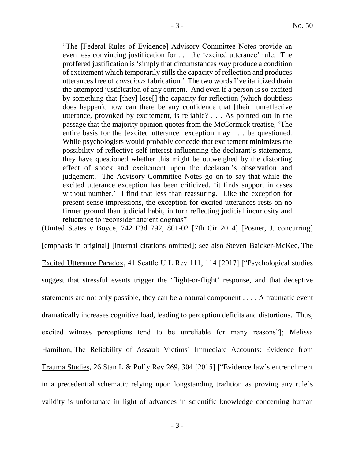"The [Federal Rules of Evidence] Advisory Committee Notes provide an even less convincing justification for . . . the 'excited utterance' rule. The proffered justification is 'simply that circumstances *may* produce a condition of excitement which temporarily stills the capacity of reflection and produces utterances free of *conscious* fabrication.' The two words I've italicized drain the attempted justification of any content. And even if a person is so excited by something that [they] lose[] the capacity for reflection (which doubtless does happen), how can there be any confidence that [their] unreflective utterance, provoked by excitement, is reliable? . . . As pointed out in the passage that the majority opinion quotes from the McCormick treatise, 'The entire basis for the [excited utterance] exception may . . . be questioned. While psychologists would probably concede that excitement minimizes the possibility of reflective self-interest influencing the declarant's statements, they have questioned whether this might be outweighed by the distorting effect of shock and excitement upon the declarant's observation and judgement.' The Advisory Committee Notes go on to say that while the excited utterance exception has been criticized, 'it finds support in cases without number.' I find that less than reassuring. Like the exception for present sense impressions, the exception for excited utterances rests on no firmer ground than judicial habit, in turn reflecting judicial incuriosity and reluctance to reconsider ancient dogmas"

(United States v Boyce, 742 F3d 792, 801-02 [7th Cir 2014] [Posner, J. concurring]

[emphasis in original] [internal citations omitted]; see also Steven Baicker-McKee, The Excited Utterance Paradox, 41 Seattle U L Rev 111, 114 [2017] ["Psychological studies suggest that stressful events trigger the 'flight-or-flight' response, and that deceptive statements are not only possible, they can be a natural component . . . . A traumatic event dramatically increases cognitive load, leading to perception deficits and distortions. Thus, excited witness perceptions tend to be unreliable for many reasons"]; Melissa Hamilton, The Reliability of Assault Victims' Immediate Accounts: Evidence from Trauma Studies, 26 Stan L & Pol'y Rev 269, 304 [2015] ["Evidence law's entrenchment in a precedential schematic relying upon longstanding tradition as proving any rule's validity is unfortunate in light of advances in scientific knowledge concerning human